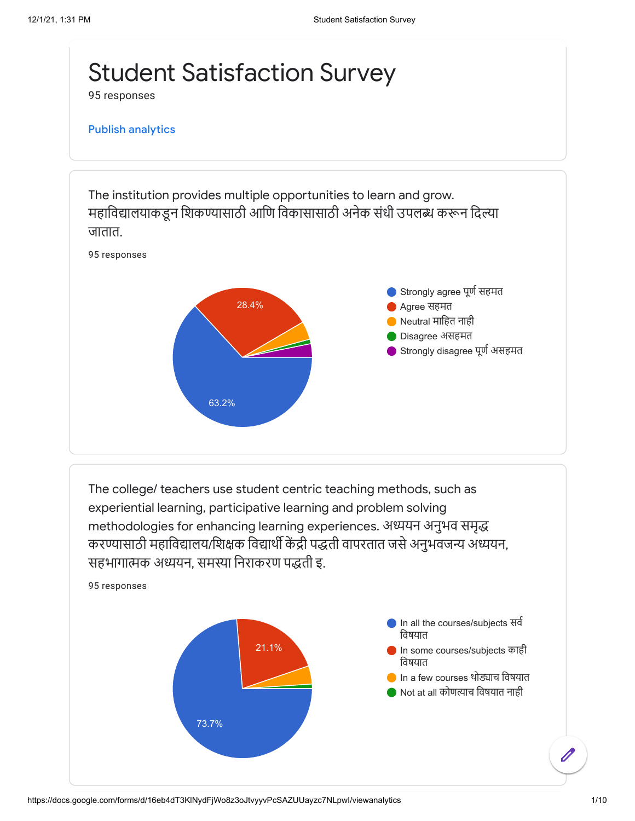

95 responses

## Publish [analytics](https://docs.google.com/forms/d/16eb4dT3KlNydFjWo8z3oJtvyyvPcSAZUUayzc7NLpwI/edit?usp=redirect_edit_m2#start=publishanalytics)

The institution provides multiple opportunities to learn and grow. महाविद्यालयाकडून शिकण्यासाठी आणि विकासासाठी अनेक संधी उपलब्ध करून दिल्या जातात.



The college/ teachers use student centric teaching methods, such as experiential learning, participative learning and problem solving methodologies for enhancing learning experiences. अध्ययन अनुभव समृद्ध करण्यासाठी महाविद्या लय/शिक्षक विद्यार्थी केंद्री पद्धती वापरतात जसे अनुभवजन्य अध्ययन, सहभागात्मक अध्ययन, समस्या निराकरण पद्धती इ.

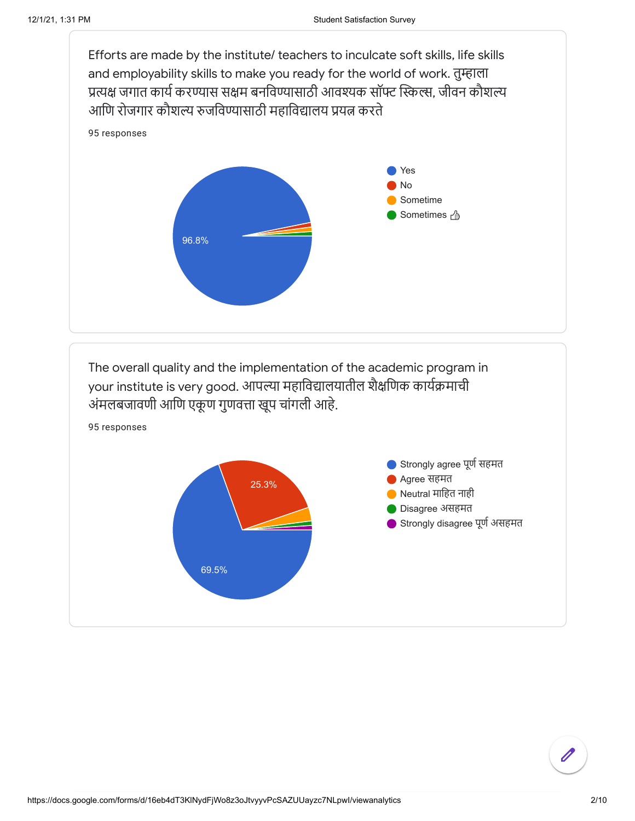

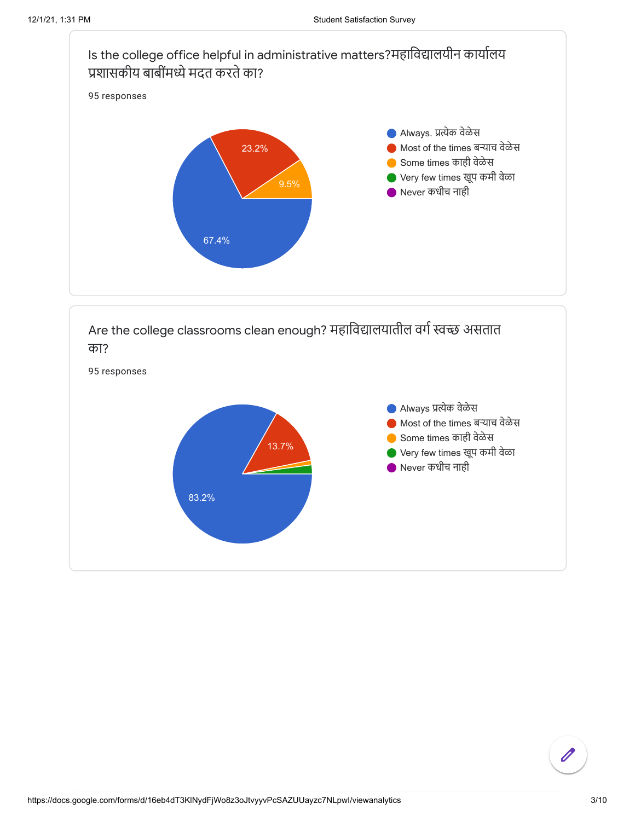



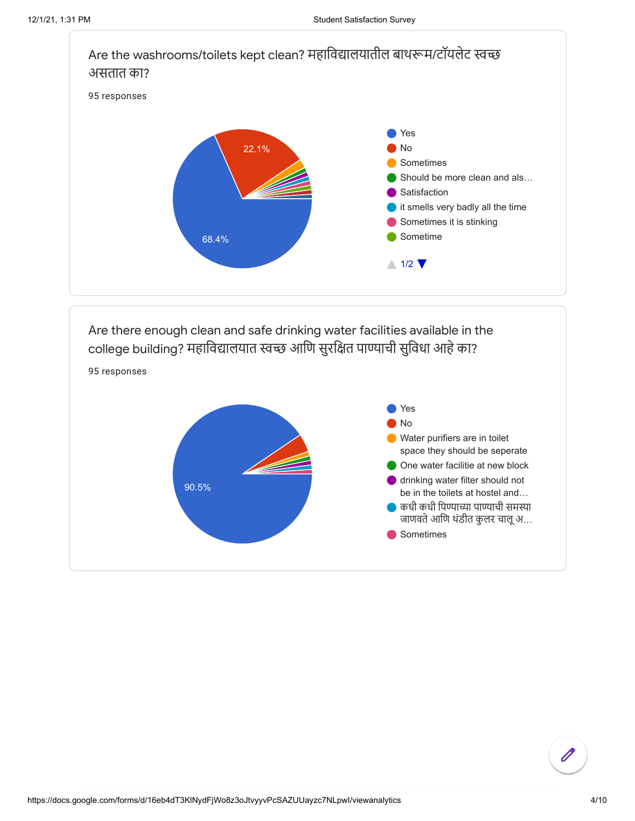



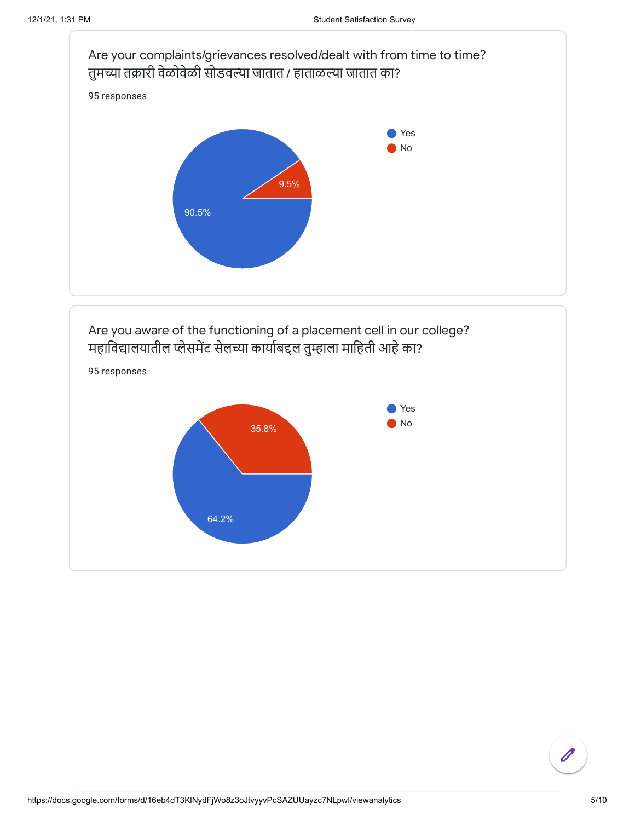

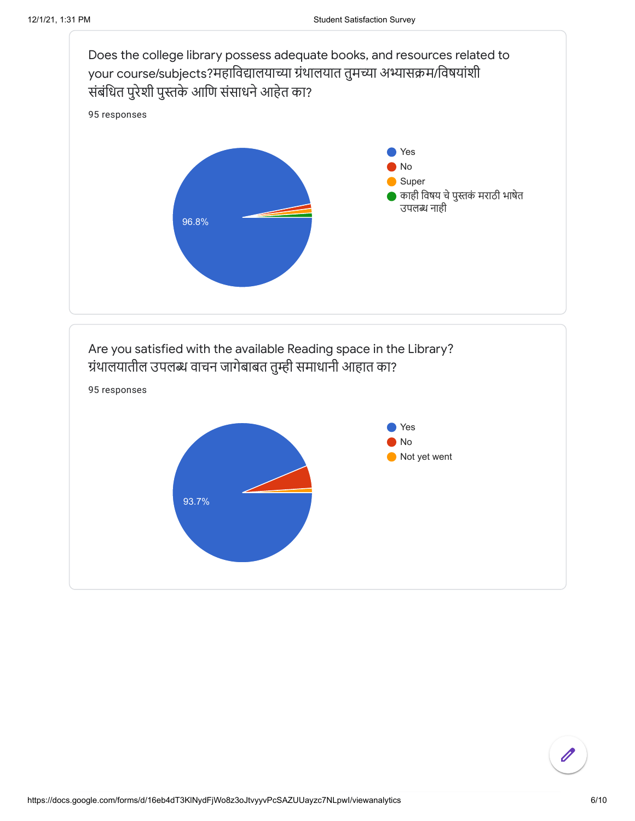

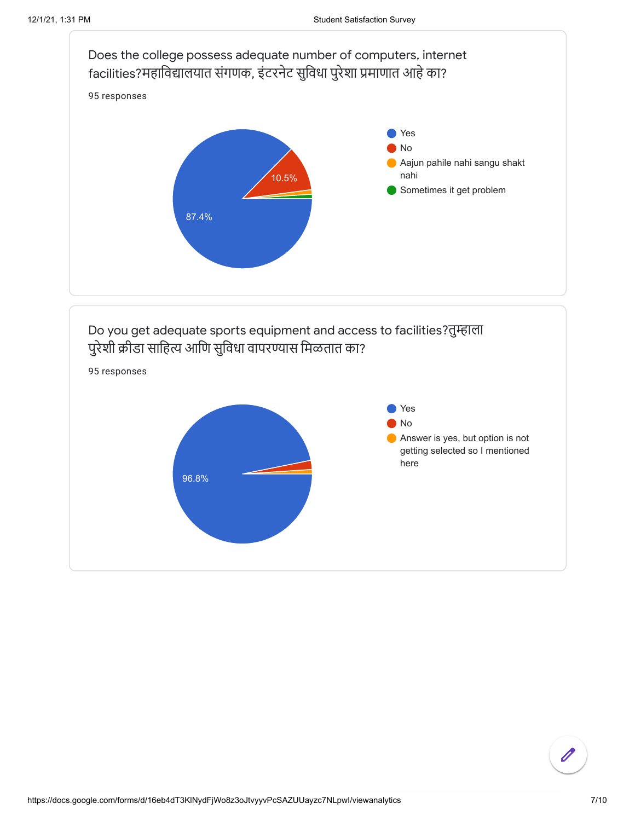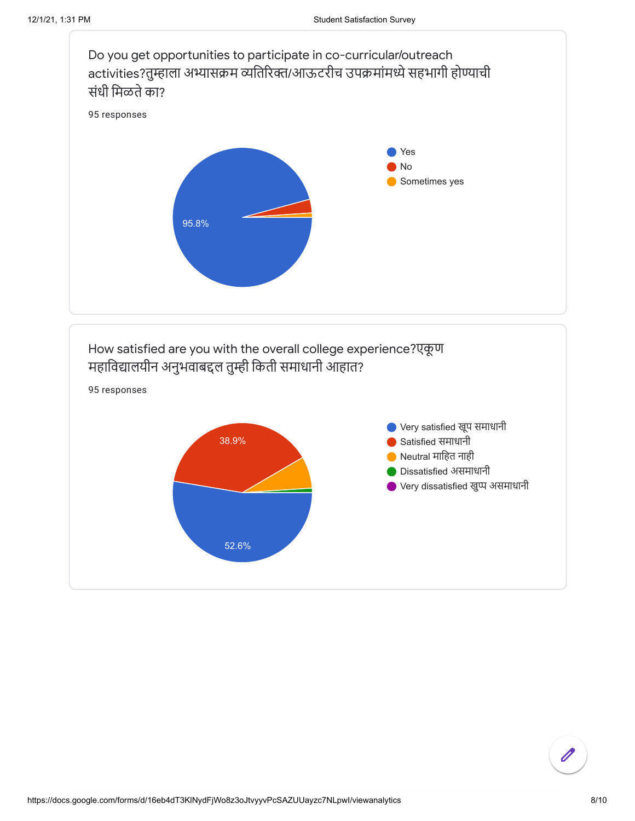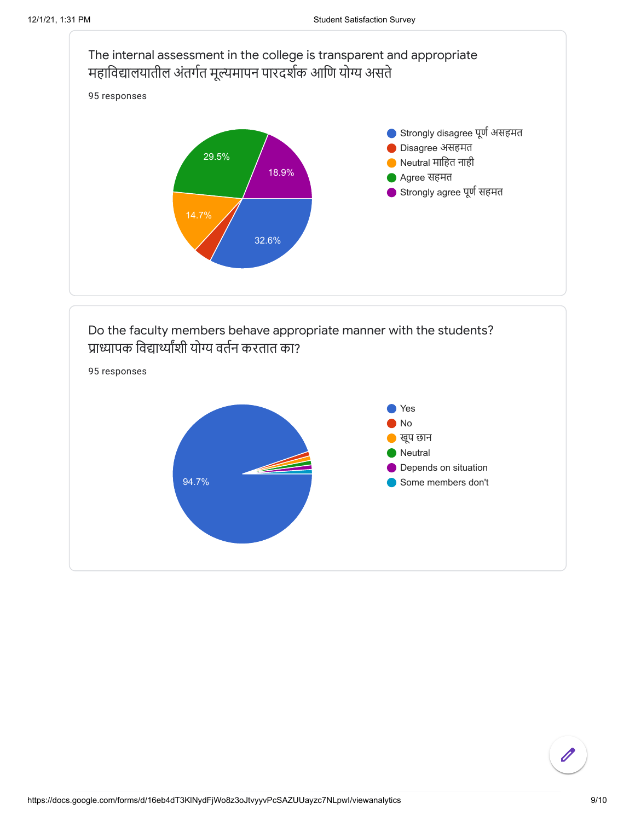